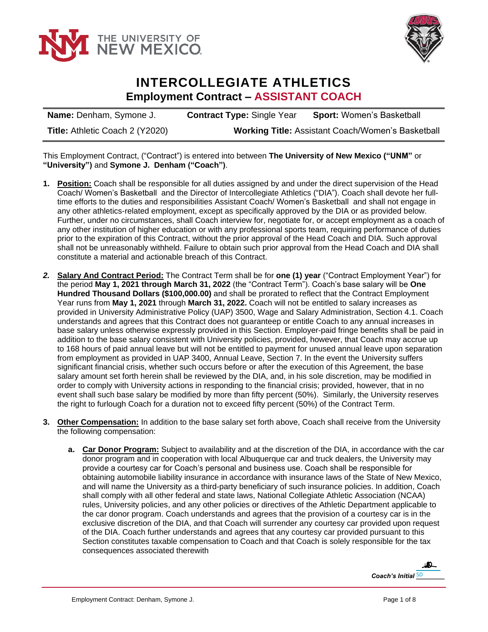



## **INTERCOLLEGIATE ATHLETICS Employment Contract – ASSISTANT COACH**

**Name:** Denham, Symone J. **Contract Type:** Single Year **Sport:** Women's Basketball **Title:** Athletic Coach 2 (Y2020) **Working Title:** Assistant Coach/Women's Basketball

This Employment Contract, ("Contract") is entered into between **The University of New Mexico ("UNM"** or **"University")** and **Symone J. Denham ("Coach")**.

- **1. Position:** Coach shall be responsible for all duties assigned by and under the direct supervision of the Head Coach/ Women's Basketball and the Director of Intercollegiate Athletics ("DIA"). Coach shall devote her fulltime efforts to the duties and responsibilities Assistant Coach/ Women's Basketball and shall not engage in any other athletics-related employment, except as specifically approved by the DIA or as provided below. Further, under no circumstances, shall Coach interview for, negotiate for, or accept employment as a coach of any other institution of higher education or with any professional sports team, requiring performance of duties prior to the expiration of this Contract, without the prior approval of the Head Coach and DIA. Such approval shall not be unreasonably withheld. Failure to obtain such prior approval from the Head Coach and DIA shall constitute a material and actionable breach of this Contract.
- *2.* **Salary And Contract Period:** The Contract Term shall be for **one (1) year** ("Contract Employment Year") for the period **May 1, 2021 through March 31, 2022** (the "Contract Term"). Coach's base salary will be **One Hundred Thousand Dollars (\$100,000.00)** and shall be prorated to reflect that the Contract Employment Year runs from **May 1, 2021** through **March 31, 2022.** Coach will not be entitled to salary increases as provided in University Administrative Policy (UAP) 3500, Wage and Salary Administration, Section 4.1. Coach understands and agrees that this Contract does not guaranteep or entitle Coach to any annual increases in base salary unless otherwise expressly provided in this Section. Employer-paid fringe benefits shall be paid in addition to the base salary consistent with University policies, provided, however, that Coach may accrue up to 168 hours of paid annual leave but will not be entitled to payment for unused annual leave upon separation from employment as provided in UAP 3400, Annual Leave, Section 7. In the event the University suffers significant financial crisis, whether such occurs before or after the execution of this Agreement, the base salary amount set forth herein shall be reviewed by the DIA, and, in his sole discretion, may be modified in order to comply with University actions in responding to the financial crisis; provided, however, that in no event shall such base salary be modified by more than fifty percent (50%). Similarly, the University reserves the right to furlough Coach for a duration not to exceed fifty percent (50%) of the Contract Term.
- **3. Other Compensation:** In addition to the base salary set forth above, Coach shall receive from the University the following compensation:
	- **a. Car Donor Program:** Subject to availability and at the discretion of the DIA, in accordance with the car donor program and in cooperation with local Albuquerque car and truck dealers, the University may provide a courtesy car for Coach's personal and business use. Coach shall be responsible for obtaining automobile liability insurance in accordance with insurance laws of the State of New Mexico, and will name the University as a third-party beneficiary of such insurance policies. In addition, Coach shall comply with all other federal and state laws, National Collegiate Athletic Association (NCAA) rules, University policies, and any other policies or directives of the Athletic Department applicable to the car donor program. Coach understands and agrees that the provision of a courtesy car is in the exclusive discretion of the DIA, and that Coach will surrender any courtesy car provided upon request of the DIA. Coach further understands and agrees that any courtesy car provided pursuant to this Section constitutes taxable compensation to Coach and that Coach is solely responsible for the tax consequences associated therewith

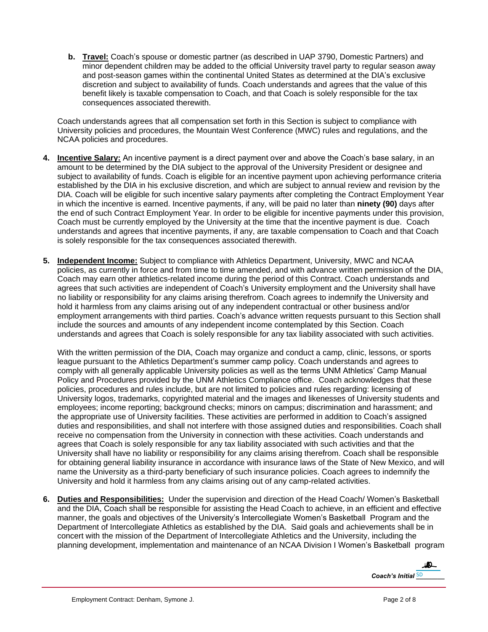**b. Travel:** Coach's spouse or domestic partner (as described in UAP 3790, Domestic Partners) and minor dependent children may be added to the official University travel party to regular season away and post-season games within the continental United States as determined at the DIA's exclusive discretion and subject to availability of funds. Coach understands and agrees that the value of this benefit likely is taxable compensation to Coach, and that Coach is solely responsible for the tax consequences associated therewith.

Coach understands agrees that all compensation set forth in this Section is subject to compliance with University policies and procedures, the Mountain West Conference (MWC) rules and regulations, and the NCAA policies and procedures.

- **4. Incentive Salary:** An incentive payment is a direct payment over and above the Coach's base salary, in an amount to be determined by the DIA subject to the approval of the University President or designee and subject to availability of funds. Coach is eligible for an incentive payment upon achieving performance criteria established by the DIA in his exclusive discretion, and which are subject to annual review and revision by the DIA. Coach will be eligible for such incentive salary payments after completing the Contract Employment Year in which the incentive is earned. Incentive payments, if any, will be paid no later than **ninety (90)** days after the end of such Contract Employment Year. In order to be eligible for incentive payments under this provision, Coach must be currently employed by the University at the time that the incentive payment is due. Coach understands and agrees that incentive payments, if any, are taxable compensation to Coach and that Coach is solely responsible for the tax consequences associated therewith.
- **5. Independent Income:** Subject to compliance with Athletics Department, University, MWC and NCAA policies, as currently in force and from time to time amended, and with advance written permission of the DIA, Coach may earn other athletics-related income during the period of this Contract. Coach understands and agrees that such activities are independent of Coach's University employment and the University shall have no liability or responsibility for any claims arising therefrom. Coach agrees to indemnify the University and hold it harmless from any claims arising out of any independent contractual or other business and/or employment arrangements with third parties. Coach's advance written requests pursuant to this Section shall include the sources and amounts of any independent income contemplated by this Section. Coach understands and agrees that Coach is solely responsible for any tax liability associated with such activities.

With the written permission of the DIA, Coach may organize and conduct a camp, clinic, lessons, or sports league pursuant to the Athletics Department's summer camp policy. Coach understands and agrees to comply with all generally applicable University policies as well as the terms UNM Athletics' Camp Manual Policy and Procedures provided by the UNM Athletics Compliance office. Coach acknowledges that these policies, procedures and rules include, but are not limited to policies and rules regarding: licensing of University logos, trademarks, copyrighted material and the images and likenesses of University students and employees; income reporting; background checks; minors on campus; discrimination and harassment; and the appropriate use of University facilities. These activities are performed in addition to Coach's assigned duties and responsibilities, and shall not interfere with those assigned duties and responsibilities. Coach shall receive no compensation from the University in connection with these activities. Coach understands and agrees that Coach is solely responsible for any tax liability associated with such activities and that the University shall have no liability or responsibility for any claims arising therefrom. Coach shall be responsible for obtaining general liability insurance in accordance with insurance laws of the State of New Mexico, and will name the University as a third-party beneficiary of such insurance policies. Coach agrees to indemnify the University and hold it harmless from any claims arising out of any camp-related activities.

**6. Duties and Responsibilities:** Under the supervision and direction of the Head Coach/ Women's Basketball and the DIA, Coach shall be responsible for assisting the Head Coach to achieve, in an efficient and effective manner, the goals and objectives of the University's Intercollegiate Women's Basketball Program and the Department of Intercollegiate Athletics as established by the DIA. Said goals and achievements shall be in concert with the mission of the Department of Intercollegiate Athletics and the University, including the planning development, implementation and maintenance of an NCAA Division I Women's Basketball program

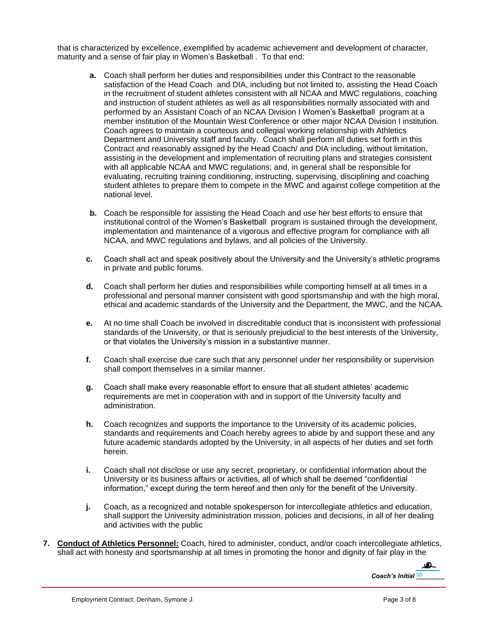that is characterized by excellence, exemplified by academic achievement and development of character, maturity and a sense of fair play in Women's Basketball . To that end:

- **a.** Coach shall perform her duties and responsibilities under this Contract to the reasonable satisfaction of the Head Coach and DIA, including but not limited to, assisting the Head Coach in the recruitment of student athletes consistent with all NCAA and MWC regulations, coaching and instruction of student athletes as well as all responsibilities normally associated with and performed by an Assistant Coach of an NCAA Division I Women's Basketball program at a member institution of the Mountain West Conference or other major NCAA Division I institution. Coach agrees to maintain a courteous and collegial working relationship with Athletics Department and University staff and faculty. Coach shall perform all duties set forth in this Contract and reasonably assigned by the Head Coach/ and DIA including, without limitation, assisting in the development and implementation of recruiting plans and strategies consistent with all applicable NCAA and MWC regulations; and, in general shall be responsible for evaluating, recruiting training conditioning, instructing, supervising, disciplining and coaching student athletes to prepare them to compete in the MWC and against college competition at the national level.
- **b.** Coach be responsible for assisting the Head Coach and use her best efforts to ensure that institutional control of the Women's Basketball program is sustained through the development, implementation and maintenance of a vigorous and effective program for compliance with all NCAA, and MWC regulations and bylaws, and all policies of the University.
- **c.** Coach shall act and speak positively about the University and the University's athletic programs in private and public forums.
- **d.** Coach shall perform her duties and responsibilities while comporting himself at all times in a professional and personal manner consistent with good sportsmanship and with the high moral, ethical and academic standards of the University and the Department, the MWC, and the NCAA.
- **e.** At no time shall Coach be involved in discreditable conduct that is inconsistent with professional standards of the University, or that is seriously prejudicial to the best interests of the University, or that violates the University's mission in a substantive manner.
- **f.** Coach shall exercise due care such that any personnel under her responsibility or supervision shall comport themselves in a similar manner.
- **g.** Coach shall make every reasonable effort to ensure that all student athletes' academic requirements are met in cooperation with and in support of the University faculty and administration.
- **h.** Coach recognizes and supports the importance to the University of its academic policies, standards and requirements and Coach hereby agrees to abide by and support these and any future academic standards adopted by the University, in all aspects of her duties and set forth herein.
- **i.** Coach shall not disclose or use any secret, proprietary, or confidential information about the University or its business affairs or activities, all of which shall be deemed "confidential information," except during the term hereof and then only for the benefit of the University.
- **j.** Coach, as a recognized and notable spokesperson for intercollegiate athletics and education, shall support the University administration mission, policies and decisions, in all of her dealing and activities with the public
- **7. Conduct of Athletics Personnel:** Coach, hired to administer, conduct, and/or coach intercollegiate athletics, shall act with honesty and sportsmanship at all times in promoting the honor and dignity of fair play in the

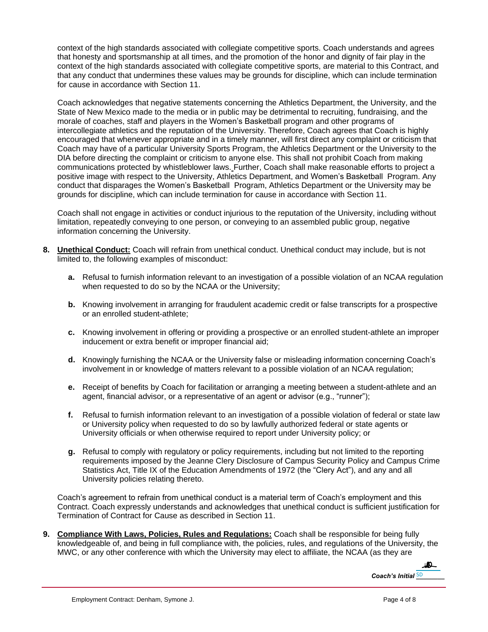context of the high standards associated with collegiate competitive sports. Coach understands and agrees that honesty and sportsmanship at all times, and the promotion of the honor and dignity of fair play in the context of the high standards associated with collegiate competitive sports, are material to this Contract, and that any conduct that undermines these values may be grounds for discipline, which can include termination for cause in accordance with Section 11.

Coach acknowledges that negative statements concerning the Athletics Department, the University, and the State of New Mexico made to the media or in public may be detrimental to recruiting, fundraising, and the morale of coaches, staff and players in the Women's Basketball program and other programs of intercollegiate athletics and the reputation of the University. Therefore, Coach agrees that Coach is highly encouraged that whenever appropriate and in a timely manner, will first direct any complaint or criticism that Coach may have of a particular University Sports Program, the Athletics Department or the University to the DIA before directing the complaint or criticism to anyone else. This shall not prohibit Coach from making communications protected by whistleblower laws. Further, Coach shall make reasonable efforts to project a positive image with respect to the University, Athletics Department, and Women's Basketball Program. Any conduct that disparages the Women's Basketball Program, Athletics Department or the University may be grounds for discipline, which can include termination for cause in accordance with Section 11.

Coach shall not engage in activities or conduct injurious to the reputation of the University, including without limitation, repeatedly conveying to one person, or conveying to an assembled public group, negative information concerning the University.

- **8. Unethical Conduct:** Coach will refrain from unethical conduct. Unethical conduct may include, but is not limited to, the following examples of misconduct:
	- **a.** Refusal to furnish information relevant to an investigation of a possible violation of an NCAA regulation when requested to do so by the NCAA or the University;
	- **b.** Knowing involvement in arranging for fraudulent academic credit or false transcripts for a prospective or an enrolled student-athlete;
	- **c.** Knowing involvement in offering or providing a prospective or an enrolled student-athlete an improper inducement or extra benefit or improper financial aid;
	- **d.** Knowingly furnishing the NCAA or the University false or misleading information concerning Coach's involvement in or knowledge of matters relevant to a possible violation of an NCAA regulation;
	- **e.** Receipt of benefits by Coach for facilitation or arranging a meeting between a student-athlete and an agent, financial advisor, or a representative of an agent or advisor (e.g., "runner");
	- **f.** Refusal to furnish information relevant to an investigation of a possible violation of federal or state law or University policy when requested to do so by lawfully authorized federal or state agents or University officials or when otherwise required to report under University policy; or
	- **g.** Refusal to comply with regulatory or policy requirements, including but not limited to the reporting requirements imposed by the Jeanne Clery Disclosure of Campus Security Policy and Campus Crime Statistics Act, Title IX of the Education Amendments of 1972 (the "Clery Act"), and any and all University policies relating thereto.

Coach's agreement to refrain from unethical conduct is a material term of Coach's employment and this Contract. Coach expressly understands and acknowledges that unethical conduct is sufficient justification for Termination of Contract for Cause as described in Section 11.

**9. Compliance With Laws, Policies, Rules and Regulations:** Coach shall be responsible for being fully knowledgeable of, and being in full compliance with, the policies, rules, and regulations of the University, the MWC, or any other conference with which the University may elect to affiliate, the NCAA (as they are

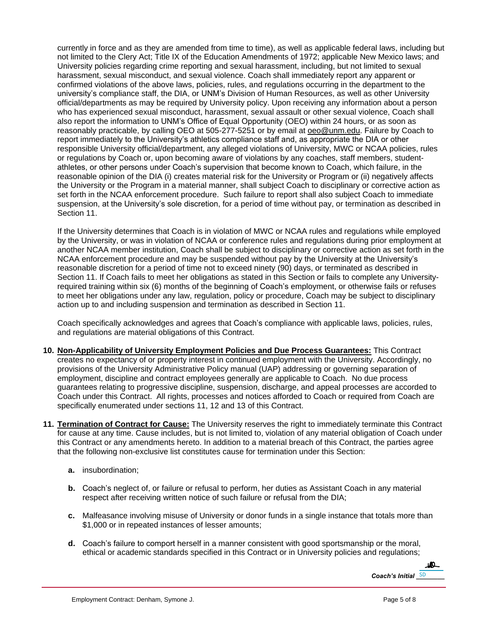currently in force and as they are amended from time to time), as well as applicable federal laws, including but not limited to the Clery Act; Title IX of the Education Amendments of 1972; applicable New Mexico laws; and University policies regarding crime reporting and sexual harassment, including, but not limited to sexual harassment, sexual misconduct, and sexual violence. Coach shall immediately report any apparent or confirmed violations of the above laws, policies, rules, and regulations occurring in the department to the university's compliance staff, the DIA, or UNM's Division of Human Resources, as well as other University official/departments as may be required by University policy. Upon receiving any information about a person who has experienced sexual misconduct, harassment, sexual assault or other sexual violence, Coach shall also report the information to UNM's Office of Equal Opportunity (OEO) within 24 hours, or as soon as reasonably practicable, by calling OEO at 505-277-5251 or by email at [oeo@unm.edu.](mailto:oeo@unm.edu) Failure by Coach to report immediately to the University's athletics compliance staff and, as appropriate the DIA or other responsible University official/department, any alleged violations of University, MWC or NCAA policies, rules or regulations by Coach or, upon becoming aware of violations by any coaches, staff members, studentathletes, or other persons under Coach's supervision that become known to Coach, which failure, in the reasonable opinion of the DIA (i) creates material risk for the University or Program or (ii) negatively affects the University or the Program in a material manner, shall subject Coach to disciplinary or corrective action as set forth in the NCAA enforcement procedure. Such failure to report shall also subject Coach to immediate suspension, at the University's sole discretion, for a period of time without pay, or termination as described in Section 11.

If the University determines that Coach is in violation of MWC or NCAA rules and regulations while employed by the University, or was in violation of NCAA or conference rules and regulations during prior employment at another NCAA member institution, Coach shall be subject to disciplinary or corrective action as set forth in the NCAA enforcement procedure and may be suspended without pay by the University at the University's reasonable discretion for a period of time not to exceed ninety (90) days, or terminated as described in Section 11. If Coach fails to meet her obligations as stated in this Section or fails to complete any Universityrequired training within six (6) months of the beginning of Coach's employment, or otherwise fails or refuses to meet her obligations under any law, regulation, policy or procedure, Coach may be subject to disciplinary action up to and including suspension and termination as described in Section 11.

Coach specifically acknowledges and agrees that Coach's compliance with applicable laws, policies, rules, and regulations are material obligations of this Contract.

- **10. Non-Applicability of University Employment Policies and Due Process Guarantees:** This Contract creates no expectancy of or property interest in continued employment with the University. Accordingly, no provisions of the University Administrative Policy manual (UAP) addressing or governing separation of employment, discipline and contract employees generally are applicable to Coach. No due process guarantees relating to progressive discipline, suspension, discharge, and appeal processes are accorded to Coach under this Contract. All rights, processes and notices afforded to Coach or required from Coach are specifically enumerated under sections 11, 12 and 13 of this Contract.
- **11. Termination of Contract for Cause:** The University reserves the right to immediately terminate this Contract for cause at any time. Cause includes, but is not limited to, violation of any material obligation of Coach under this Contract or any amendments hereto. In addition to a material breach of this Contract, the parties agree that the following non-exclusive list constitutes cause for termination under this Section:
	- **a.** insubordination;
	- **b.** Coach's neglect of, or failure or refusal to perform, her duties as Assistant Coach in any material respect after receiving written notice of such failure or refusal from the DIA;
	- **c.** Malfeasance involving misuse of University or donor funds in a single instance that totals more than \$1,000 or in repeated instances of lesser amounts;
	- **d.** Coach's failure to comport herself in a manner consistent with good sportsmanship or the moral, ethical or academic standards specified in this Contract or in University policies and regulations;

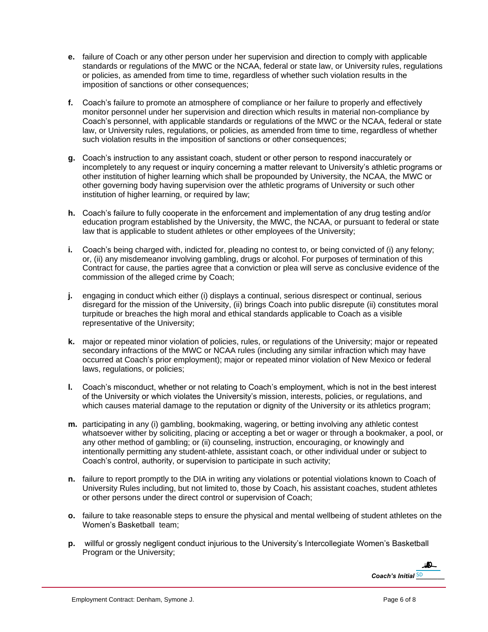- **e.** failure of Coach or any other person under her supervision and direction to comply with applicable standards or regulations of the MWC or the NCAA, federal or state law, or University rules, regulations or policies, as amended from time to time, regardless of whether such violation results in the imposition of sanctions or other consequences;
- **f.** Coach's failure to promote an atmosphere of compliance or her failure to properly and effectively monitor personnel under her supervision and direction which results in material non-compliance by Coach's personnel, with applicable standards or regulations of the MWC or the NCAA, federal or state law, or University rules, regulations, or policies, as amended from time to time, regardless of whether such violation results in the imposition of sanctions or other consequences;
- **g.** Coach's instruction to any assistant coach, student or other person to respond inaccurately or incompletely to any request or inquiry concerning a matter relevant to University's athletic programs or other institution of higher learning which shall be propounded by University, the NCAA, the MWC or other governing body having supervision over the athletic programs of University or such other institution of higher learning, or required by law;
- **h.** Coach's failure to fully cooperate in the enforcement and implementation of any drug testing and/or education program established by the University, the MWC, the NCAA, or pursuant to federal or state law that is applicable to student athletes or other employees of the University;
- **i.** Coach's being charged with, indicted for, pleading no contest to, or being convicted of (i) any felony; or, (ii) any misdemeanor involving gambling, drugs or alcohol. For purposes of termination of this Contract for cause, the parties agree that a conviction or plea will serve as conclusive evidence of the commission of the alleged crime by Coach;
- **j.** engaging in conduct which either (i) displays a continual, serious disrespect or continual, serious disregard for the mission of the University, (ii) brings Coach into public disrepute (ii) constitutes moral turpitude or breaches the high moral and ethical standards applicable to Coach as a visible representative of the University;
- **k.** major or repeated minor violation of policies, rules, or regulations of the University; major or repeated secondary infractions of the MWC or NCAA rules (including any similar infraction which may have occurred at Coach's prior employment); major or repeated minor violation of New Mexico or federal laws, regulations, or policies;
- **l.** Coach's misconduct, whether or not relating to Coach's employment, which is not in the best interest of the University or which violates the University's mission, interests, policies, or regulations, and which causes material damage to the reputation or dignity of the University or its athletics program;
- **m.** participating in any (i) gambling, bookmaking, wagering, or betting involving any athletic contest whatsoever wither by soliciting, placing or accepting a bet or wager or through a bookmaker, a pool, or any other method of gambling; or (ii) counseling, instruction, encouraging, or knowingly and intentionally permitting any student-athlete, assistant coach, or other individual under or subject to Coach's control, authority, or supervision to participate in such activity;
- **n.** failure to report promptly to the DIA in writing any violations or potential violations known to Coach of University Rules including, but not limited to, those by Coach, his assistant coaches, student athletes or other persons under the direct control or supervision of Coach;
- **o.** failure to take reasonable steps to ensure the physical and mental wellbeing of student athletes on the Women's Basketball team:
- **p.** willful or grossly negligent conduct injurious to the University's Intercollegiate Women's Basketball Program or the University;

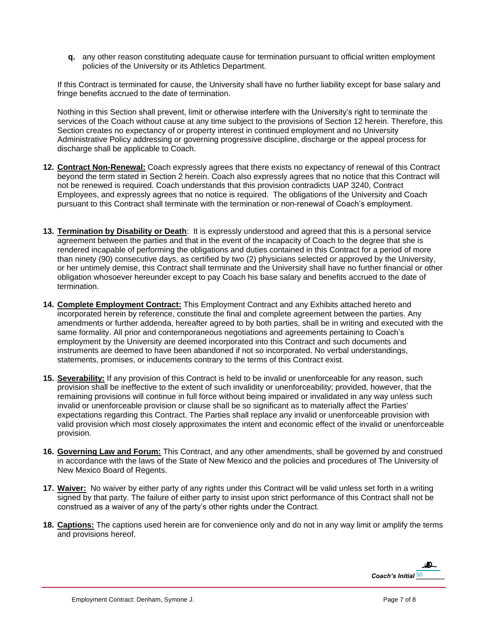**q.** any other reason constituting adequate cause for termination pursuant to official written employment policies of the University or its Athletics Department.

If this Contract is terminated for cause, the University shall have no further liability except for base salary and fringe benefits accrued to the date of termination.

Nothing in this Section shall prevent, limit or otherwise interfere with the University's right to terminate the services of the Coach without cause at any time subject to the provisions of Section 12 herein. Therefore, this Section creates no expectancy of or property interest in continued employment and no University Administrative Policy addressing or governing progressive discipline, discharge or the appeal process for discharge shall be applicable to Coach.

- **12. Contract Non-Renewal:** Coach expressly agrees that there exists no expectancy of renewal of this Contract beyond the term stated in Section 2 herein. Coach also expressly agrees that no notice that this Contract will not be renewed is required. Coach understands that this provision contradicts UAP 3240, Contract Employees, and expressly agrees that no notice is required. The obligations of the University and Coach pursuant to this Contract shall terminate with the termination or non-renewal of Coach's employment.
- **13. Termination by Disability or Death**: It is expressly understood and agreed that this is a personal service agreement between the parties and that in the event of the incapacity of Coach to the degree that she is rendered incapable of performing the obligations and duties contained in this Contract for a period of more than ninety (90) consecutive days, as certified by two (2) physicians selected or approved by the University, or her untimely demise, this Contract shall terminate and the University shall have no further financial or other obligation whosoever hereunder except to pay Coach his base salary and benefits accrued to the date of termination.
- **14. Complete Employment Contract:** This Employment Contract and any Exhibits attached hereto and incorporated herein by reference, constitute the final and complete agreement between the parties. Any amendments or further addenda, hereafter agreed to by both parties, shall be in writing and executed with the same formality. All prior and contemporaneous negotiations and agreements pertaining to Coach's employment by the University are deemed incorporated into this Contract and such documents and instruments are deemed to have been abandoned if not so incorporated. No verbal understandings, statements, promises, or inducements contrary to the terms of this Contract exist.
- **15. Severability:** If any provision of this Contract is held to be invalid or unenforceable for any reason, such provision shall be ineffective to the extent of such invalidity or unenforceability; provided, however, that the remaining provisions will continue in full force without being impaired or invalidated in any way unless such invalid or unenforceable provision or clause shall be so significant as to materially affect the Parties' expectations regarding this Contract. The Parties shall replace any invalid or unenforceable provision with valid provision which most closely approximates the intent and economic effect of the invalid or unenforceable provision.
- **16. Governing Law and Forum:** This Contract, and any other amendments, shall be governed by and construed in accordance with the laws of the State of New Mexico and the policies and procedures of The University of New Mexico Board of Regents.
- **17. Waiver:** No waiver by either party of any rights under this Contract will be valid unless set forth in a writing signed by that party. The failure of either party to insist upon strict performance of this Contract shall not be construed as a waiver of any of the party's other rights under the Contract.
- **18. Captions:** The captions used herein are for convenience only and do not in any way limit or amplify the terms and provisions hereof.